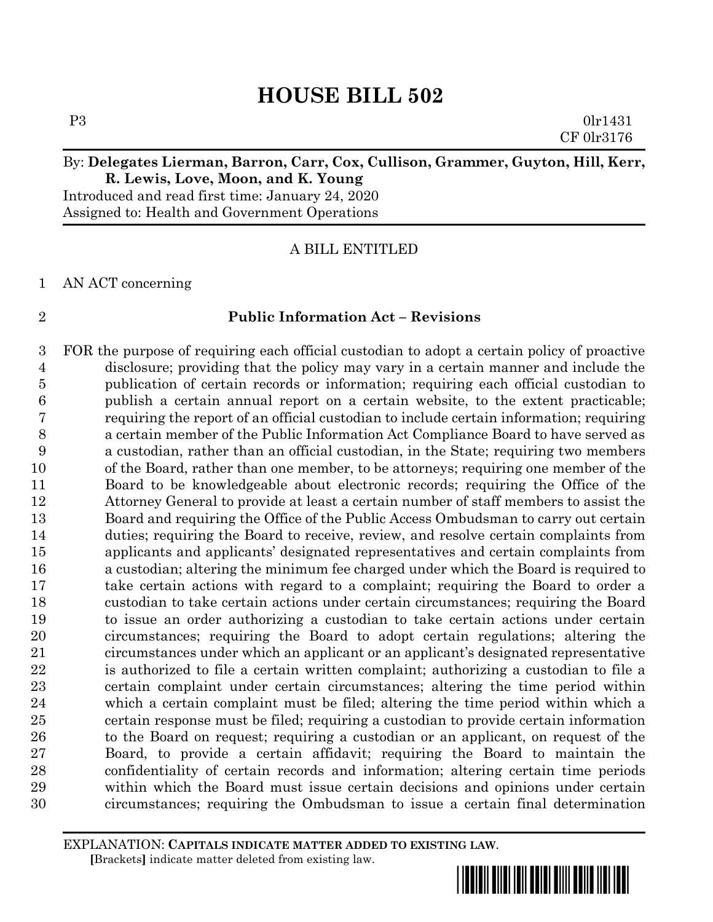# **R. Lewis, Love, Moon, and K. Young**

Introduced and read first time: January 24, 2020 Assigned to: Health and Government Operations

#### A BILL ENTITLED

AN ACT concerning

#### **Public Information Act – Revisions**

 FOR the purpose of requiring each official custodian to adopt a certain policy of proactive disclosure; providing that the policy may vary in a certain manner and include the publication of certain records or information; requiring each official custodian to publish a certain annual report on a certain website, to the extent practicable; requiring the report of an official custodian to include certain information; requiring a certain member of the Public Information Act Compliance Board to have served as a custodian, rather than an official custodian, in the State; requiring two members of the Board, rather than one member, to be attorneys; requiring one member of the Board to be knowledgeable about electronic records; requiring the Office of the Attorney General to provide at least a certain number of staff members to assist the Board and requiring the Office of the Public Access Ombudsman to carry out certain duties; requiring the Board to receive, review, and resolve certain complaints from applicants and applicants' designated representatives and certain complaints from a custodian; altering the minimum fee charged under which the Board is required to take certain actions with regard to a complaint; requiring the Board to order a custodian to take certain actions under certain circumstances; requiring the Board to issue an order authorizing a custodian to take certain actions under certain circumstances; requiring the Board to adopt certain regulations; altering the circumstances under which an applicant or an applicant's designated representative is authorized to file a certain written complaint; authorizing a custodian to file a certain complaint under certain circumstances; altering the time period within which a certain complaint must be filed; altering the time period within which a certain response must be filed; requiring a custodian to provide certain information 26 to the Board on request; requiring a custodian or an applicant, on request of the Board, to provide a certain affidavit; requiring the Board to maintain the confidentiality of certain records and information; altering certain time periods within which the Board must issue certain decisions and opinions under certain circumstances; requiring the Ombudsman to issue a certain final determination

EXPLANATION: **CAPITALS INDICATE MATTER ADDED TO EXISTING LAW**.  **[**Brackets**]** indicate matter deleted from existing law.

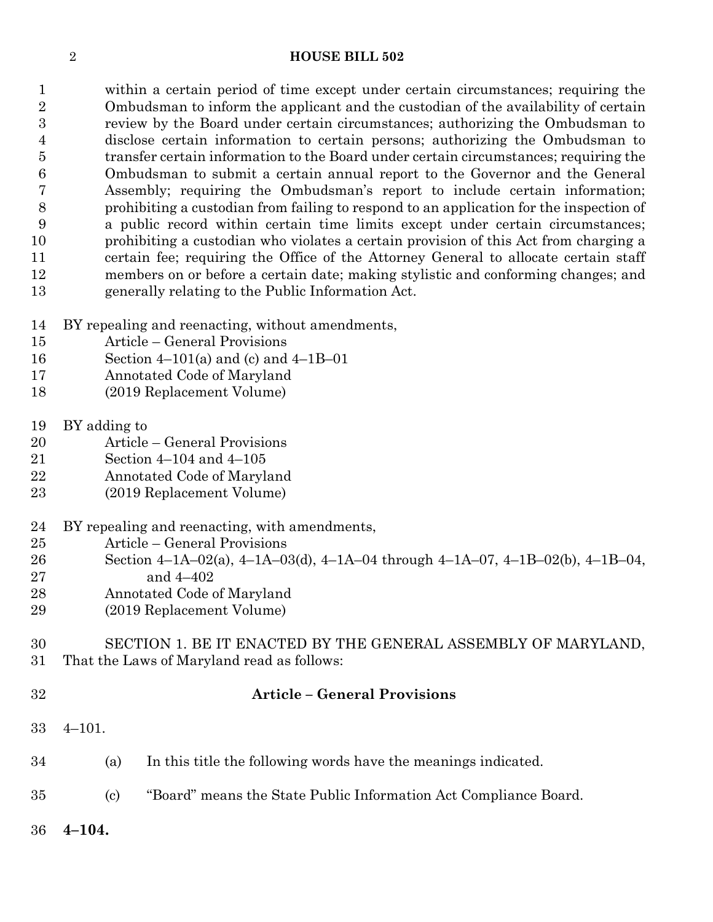within a certain period of time except under certain circumstances; requiring the Ombudsman to inform the applicant and the custodian of the availability of certain review by the Board under certain circumstances; authorizing the Ombudsman to disclose certain information to certain persons; authorizing the Ombudsman to transfer certain information to the Board under certain circumstances; requiring the Ombudsman to submit a certain annual report to the Governor and the General Assembly; requiring the Ombudsman's report to include certain information; prohibiting a custodian from failing to respond to an application for the inspection of a public record within certain time limits except under certain circumstances; prohibiting a custodian who violates a certain provision of this Act from charging a certain fee; requiring the Office of the Attorney General to allocate certain staff members on or before a certain date; making stylistic and conforming changes; and generally relating to the Public Information Act.

- BY repealing and reenacting, without amendments,
- Article General Provisions
- Section 4–101(a) and (c) and 4–1B–01
- Annotated Code of Maryland
- (2019 Replacement Volume)
- BY adding to
- Article General Provisions
- Section 4–104 and 4–105
- Annotated Code of Maryland
- (2019 Replacement Volume)
- BY repealing and reenacting, with amendments,
- Article General Provisions
- 26 Section  $4-\frac{1A-02(a)}{4}$ ,  $4-\frac{1A-03(d)}{4}$ ,  $4-\frac{1A-04}{4}$  through  $4-\frac{1A-07}{4}$ ,  $4-\frac{1B-02(b)}{4}$ ,  $4-\frac{1B-04}{4}$
- and 4–402
- Annotated Code of Maryland
- (2019 Replacement Volume)

#### SECTION 1. BE IT ENACTED BY THE GENERAL ASSEMBLY OF MARYLAND, That the Laws of Maryland read as follows:

#### **Article – General Provisions**

- 4–101.
- (a) In this title the following words have the meanings indicated.
- (c) "Board" means the State Public Information Act Compliance Board.
- **4–104.**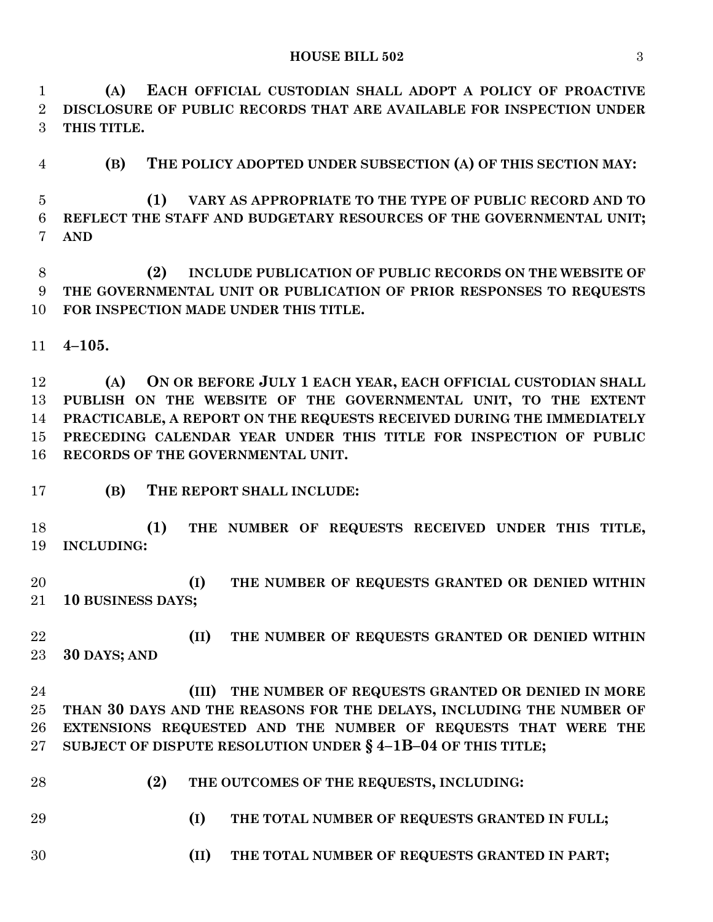**(A) EACH OFFICIAL CUSTODIAN SHALL ADOPT A POLICY OF PROACTIVE DISCLOSURE OF PUBLIC RECORDS THAT ARE AVAILABLE FOR INSPECTION UNDER THIS TITLE.**

**(B) THE POLICY ADOPTED UNDER SUBSECTION (A) OF THIS SECTION MAY:**

 **(1) VARY AS APPROPRIATE TO THE TYPE OF PUBLIC RECORD AND TO REFLECT THE STAFF AND BUDGETARY RESOURCES OF THE GOVERNMENTAL UNIT; AND**

 **(2) INCLUDE PUBLICATION OF PUBLIC RECORDS ON THE WEBSITE OF THE GOVERNMENTAL UNIT OR PUBLICATION OF PRIOR RESPONSES TO REQUESTS FOR INSPECTION MADE UNDER THIS TITLE.**

**4–105.**

 **(A) ON OR BEFORE JULY 1 EACH YEAR, EACH OFFICIAL CUSTODIAN SHALL PUBLISH ON THE WEBSITE OF THE GOVERNMENTAL UNIT, TO THE EXTENT PRACTICABLE, A REPORT ON THE REQUESTS RECEIVED DURING THE IMMEDIATELY PRECEDING CALENDAR YEAR UNDER THIS TITLE FOR INSPECTION OF PUBLIC RECORDS OF THE GOVERNMENTAL UNIT.**

**(B) THE REPORT SHALL INCLUDE:**

 **(1) THE NUMBER OF REQUESTS RECEIVED UNDER THIS TITLE, INCLUDING:**

 **(I) THE NUMBER OF REQUESTS GRANTED OR DENIED WITHIN 10 BUSINESS DAYS;**

 **(II) THE NUMBER OF REQUESTS GRANTED OR DENIED WITHIN 30 DAYS; AND**

 **(III) THE NUMBER OF REQUESTS GRANTED OR DENIED IN MORE THAN 30 DAYS AND THE REASONS FOR THE DELAYS, INCLUDING THE NUMBER OF EXTENSIONS REQUESTED AND THE NUMBER OF REQUESTS THAT WERE THE SUBJECT OF DISPUTE RESOLUTION UNDER § 4–1B–04 OF THIS TITLE;**

- **(2) THE OUTCOMES OF THE REQUESTS, INCLUDING:**
- 
- **(I) THE TOTAL NUMBER OF REQUESTS GRANTED IN FULL;**
- **(II) THE TOTAL NUMBER OF REQUESTS GRANTED IN PART;**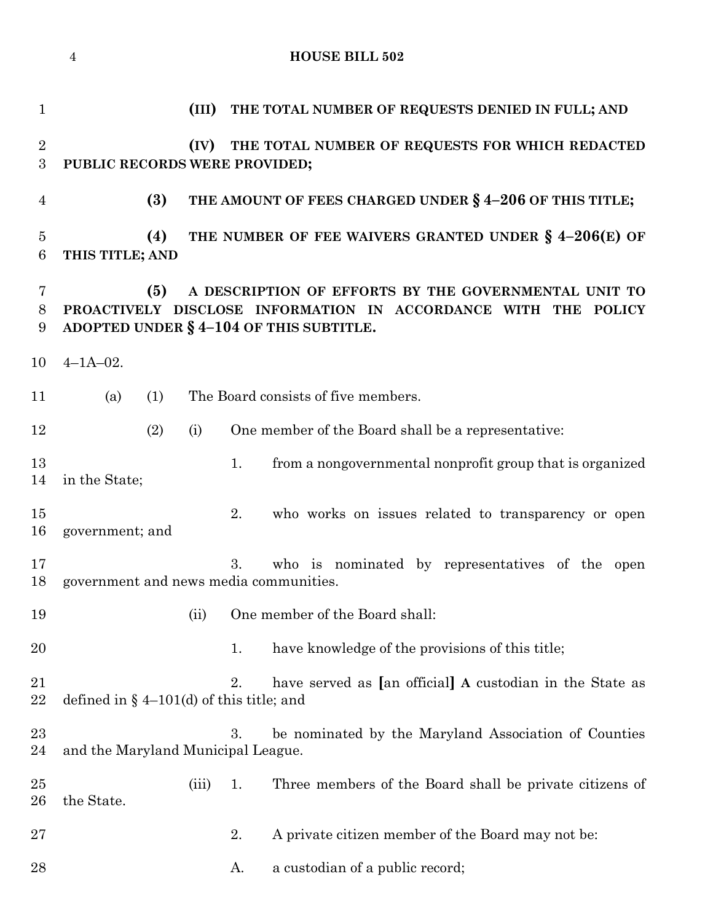|                                    | <b>HOUSE BILL 502</b><br>$\overline{4}$                                                                                                                                  |       |    |                                                          |  |  |  |
|------------------------------------|--------------------------------------------------------------------------------------------------------------------------------------------------------------------------|-------|----|----------------------------------------------------------|--|--|--|
| $\mathbf{1}$                       |                                                                                                                                                                          | (III) |    | THE TOTAL NUMBER OF REQUESTS DENIED IN FULL; AND         |  |  |  |
| $\overline{2}$<br>$\boldsymbol{3}$ | PUBLIC RECORDS WERE PROVIDED;                                                                                                                                            | (IV)  |    | THE TOTAL NUMBER OF REQUESTS FOR WHICH REDACTED          |  |  |  |
| $\overline{4}$                     | (3)                                                                                                                                                                      |       |    | THE AMOUNT OF FEES CHARGED UNDER § 4-206 OF THIS TITLE;  |  |  |  |
| $\overline{5}$<br>6                | (4)<br>THIS TITLE; AND                                                                                                                                                   |       |    | THE NUMBER OF FEE WAIVERS GRANTED UNDER § 4-206(E) OF    |  |  |  |
| 7<br>8<br>9                        | (5)<br>A DESCRIPTION OF EFFORTS BY THE GOVERNMENTAL UNIT TO<br>PROACTIVELY DISCLOSE INFORMATION IN ACCORDANCE WITH THE POLICY<br>ADOPTED UNDER § 4-104 OF THIS SUBTITLE. |       |    |                                                          |  |  |  |
| 10                                 | $4 - 1A - 02$ .                                                                                                                                                          |       |    |                                                          |  |  |  |
| 11                                 | (1)<br>(a)                                                                                                                                                               |       |    | The Board consists of five members.                      |  |  |  |
| 12                                 | (2)                                                                                                                                                                      | (i)   |    | One member of the Board shall be a representative:       |  |  |  |
| 13<br>14                           | in the State;                                                                                                                                                            |       | 1. | from a nongovernmental nonprofit group that is organized |  |  |  |
| 15<br>16                           | government; and                                                                                                                                                          |       | 2. | who works on issues related to transparency or open      |  |  |  |
| 17<br>18                           | government and news media communities.                                                                                                                                   |       | 3. | who is nominated by representatives of the open          |  |  |  |
| 19                                 |                                                                                                                                                                          | (ii)  |    | One member of the Board shall:                           |  |  |  |
| 20                                 |                                                                                                                                                                          |       | 1. | have knowledge of the provisions of this title;          |  |  |  |
| 21<br>22                           | defined in $\S$ 4–101(d) of this title; and                                                                                                                              |       | 2. | have served as [an official] A custodian in the State as |  |  |  |
| 23<br>24                           | and the Maryland Municipal League.                                                                                                                                       |       | 3. | be nominated by the Maryland Association of Counties     |  |  |  |
| $25\,$<br>$26\,$                   | the State.                                                                                                                                                               | (iii) | 1. | Three members of the Board shall be private citizens of  |  |  |  |
| $27\,$                             |                                                                                                                                                                          |       | 2. | A private citizen member of the Board may not be:        |  |  |  |
| 28                                 |                                                                                                                                                                          |       | A. | a custodian of a public record;                          |  |  |  |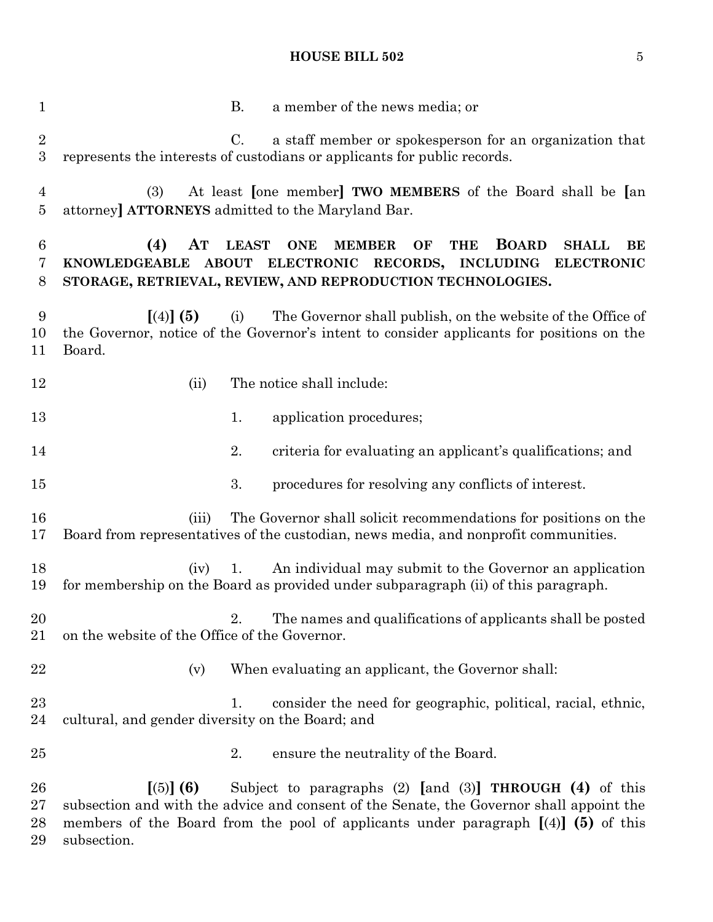B. a member of the news media; or C. a staff member or spokesperson for an organization that represents the interests of custodians or applicants for public records. (3) At least **[**one member**] TWO MEMBERS** of the Board shall be **[**an attorney**] ATTORNEYS** admitted to the Maryland Bar. **(4) AT LEAST ONE MEMBER OF THE BOARD SHALL BE KNOWLEDGEABLE ABOUT ELECTRONIC RECORDS, INCLUDING ELECTRONIC STORAGE, RETRIEVAL, REVIEW, AND REPRODUCTION TECHNOLOGIES. [**(4)**] (5)** (i) The Governor shall publish, on the website of the Office of the Governor, notice of the Governor's intent to consider applicants for positions on the Board. 12 (ii) The notice shall include: 13 1. application procedures; 2. criteria for evaluating an applicant's qualifications; and 3. procedures for resolving any conflicts of interest. (iii) The Governor shall solicit recommendations for positions on the Board from representatives of the custodian, news media, and nonprofit communities. (iv) 1. An individual may submit to the Governor an application for membership on the Board as provided under subparagraph (ii) of this paragraph. 2. The names and qualifications of applicants shall be posted on the website of the Office of the Governor. 22 (v) When evaluating an applicant, the Governor shall: 23 1. consider the need for geographic, political, racial, ethnic, cultural, and gender diversity on the Board; and 25 25 2. ensure the neutrality of the Board. **[**(5)**] (6)** Subject to paragraphs (2) **[**and (3)**] THROUGH (4)** of this subsection and with the advice and consent of the Senate, the Governor shall appoint the members of the Board from the pool of applicants under paragraph **[**(4)**] (5)** of this subsection.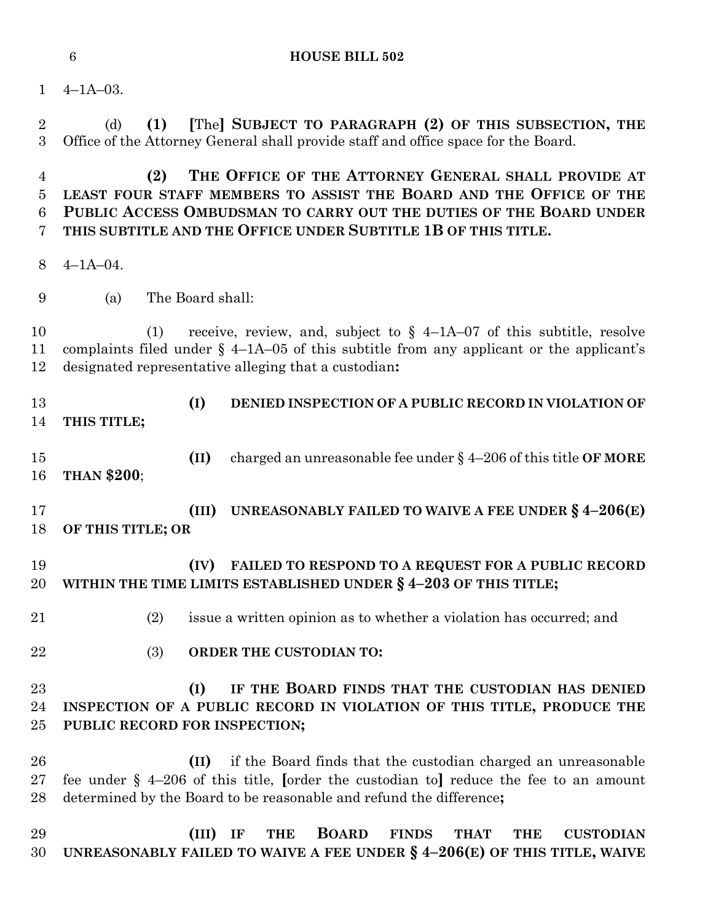(d) **(1) [**The**] SUBJECT TO PARAGRAPH (2) OF THIS SUBSECTION, THE**

Office of the Attorney General shall provide staff and office space for the Board.

4–1A–03.

 **(2) THE OFFICE OF THE ATTORNEY GENERAL SHALL PROVIDE AT LEAST FOUR STAFF MEMBERS TO ASSIST THE BOARD AND THE OFFICE OF THE PUBLIC ACCESS OMBUDSMAN TO CARRY OUT THE DUTIES OF THE BOARD UNDER THIS SUBTITLE AND THE OFFICE UNDER SUBTITLE 1B OF THIS TITLE.** 4–1A–04. (a) The Board shall: (1) receive, review, and, subject to § 4–1A–07 of this subtitle, resolve complaints filed under § 4–1A–05 of this subtitle from any applicant or the applicant's designated representative alleging that a custodian**: (I) DENIED INSPECTION OF A PUBLIC RECORD IN VIOLATION OF THIS TITLE; (II)** charged an unreasonable fee under § 4–206 of this title **OF MORE THAN \$200**; **(III) UNREASONABLY FAILED TO WAIVE A FEE UNDER § 4–206(E) OF THIS TITLE; OR (IV) FAILED TO RESPOND TO A REQUEST FOR A PUBLIC RECORD WITHIN THE TIME LIMITS ESTABLISHED UNDER § 4–203 OF THIS TITLE;** (2) issue a written opinion as to whether a violation has occurred; and (3) **ORDER THE CUSTODIAN TO: (I) IF THE BOARD FINDS THAT THE CUSTODIAN HAS DENIED INSPECTION OF A PUBLIC RECORD IN VIOLATION OF THIS TITLE, PRODUCE THE PUBLIC RECORD FOR INSPECTION; (II)** if the Board finds that the custodian charged an unreasonable fee under § 4–206 of this title, **[**order the custodian to**]** reduce the fee to an amount determined by the Board to be reasonable and refund the difference**; (III) IF THE BOARD FINDS THAT THE CUSTODIAN UNREASONABLY FAILED TO WAIVE A FEE UNDER § 4–206(E) OF THIS TITLE, WAIVE**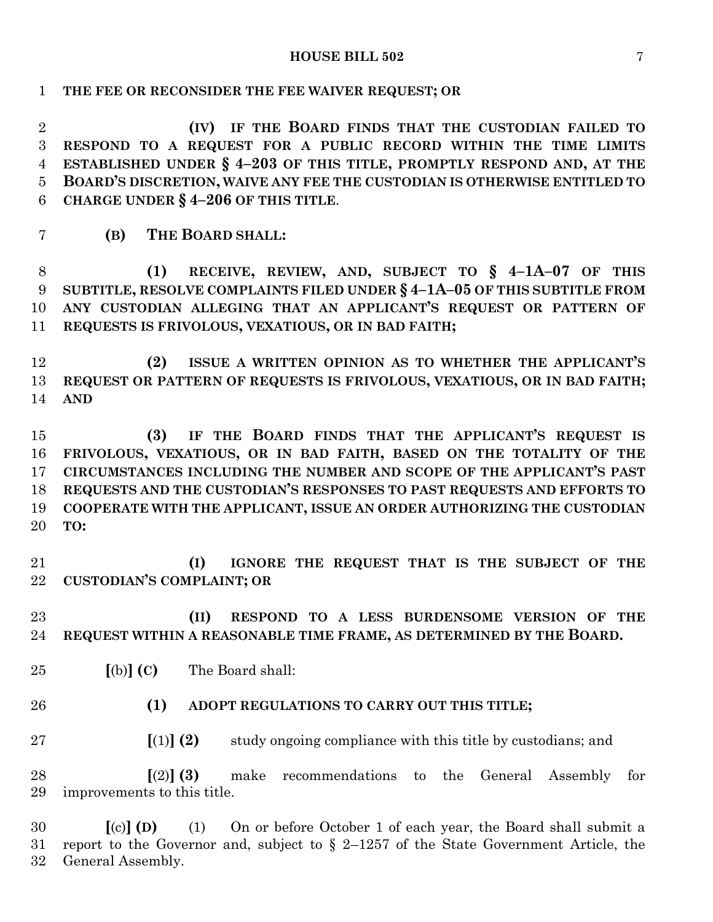**THE FEE OR RECONSIDER THE FEE WAIVER REQUEST; OR**

 **(IV) IF THE BOARD FINDS THAT THE CUSTODIAN FAILED TO RESPOND TO A REQUEST FOR A PUBLIC RECORD WITHIN THE TIME LIMITS ESTABLISHED UNDER § 4–203 OF THIS TITLE, PROMPTLY RESPOND AND, AT THE BOARD'S DISCRETION, WAIVE ANY FEE THE CUSTODIAN IS OTHERWISE ENTITLED TO CHARGE UNDER § 4–206 OF THIS TITLE**.

**(B) THE BOARD SHALL:**

 **(1) RECEIVE, REVIEW, AND, SUBJECT TO § 4–1A–07 OF THIS SUBTITLE, RESOLVE COMPLAINTS FILED UNDER § 4–1A–05 OF THIS SUBTITLE FROM ANY CUSTODIAN ALLEGING THAT AN APPLICANT'S REQUEST OR PATTERN OF REQUESTS IS FRIVOLOUS, VEXATIOUS, OR IN BAD FAITH;**

 **(2) ISSUE A WRITTEN OPINION AS TO WHETHER THE APPLICANT'S REQUEST OR PATTERN OF REQUESTS IS FRIVOLOUS, VEXATIOUS, OR IN BAD FAITH; AND**

 **(3) IF THE BOARD FINDS THAT THE APPLICANT'S REQUEST IS FRIVOLOUS, VEXATIOUS, OR IN BAD FAITH, BASED ON THE TOTALITY OF THE CIRCUMSTANCES INCLUDING THE NUMBER AND SCOPE OF THE APPLICANT'S PAST REQUESTS AND THE CUSTODIAN'S RESPONSES TO PAST REQUESTS AND EFFORTS TO COOPERATE WITH THE APPLICANT, ISSUE AN ORDER AUTHORIZING THE CUSTODIAN TO:**

 **(I) IGNORE THE REQUEST THAT IS THE SUBJECT OF THE CUSTODIAN'S COMPLAINT; OR**

 **(II) RESPOND TO A LESS BURDENSOME VERSION OF THE REQUEST WITHIN A REASONABLE TIME FRAME, AS DETERMINED BY THE BOARD.**

- **[**(b)**] (C)** The Board shall:
- 
- **(1) ADOPT REGULATIONS TO CARRY OUT THIS TITLE;**

**[**(1)**] (2)** study ongoing compliance with this title by custodians; and

 **[**(2)**] (3)** make recommendations to the General Assembly for improvements to this title.

 **[**(c)**] (D)** (1) On or before October 1 of each year, the Board shall submit a report to the Governor and, subject to § 2–1257 of the State Government Article, the General Assembly.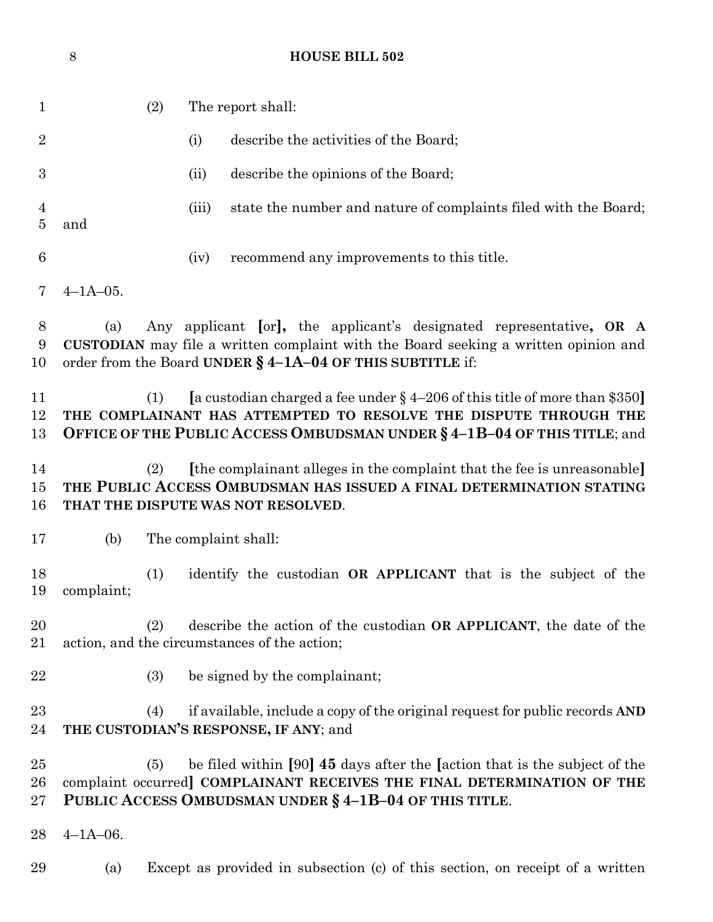|                                  | $8\,$           |                      |       | <b>HOUSE BILL 502</b>                                                                                                                                                                                                         |  |
|----------------------------------|-----------------|----------------------|-------|-------------------------------------------------------------------------------------------------------------------------------------------------------------------------------------------------------------------------------|--|
| $\mathbf{1}$                     |                 | (2)                  |       | The report shall:                                                                                                                                                                                                             |  |
| $\overline{2}$                   |                 |                      | (i)   | describe the activities of the Board;                                                                                                                                                                                         |  |
| $\boldsymbol{3}$                 |                 |                      | (ii)  | describe the opinions of the Board;                                                                                                                                                                                           |  |
| $\overline{4}$<br>$\overline{5}$ | and             |                      | (iii) | state the number and nature of complaints filed with the Board;                                                                                                                                                               |  |
| 6                                |                 |                      | (iv)  | recommend any improvements to this title.                                                                                                                                                                                     |  |
| 7                                | $4 - 1A - 05$ . |                      |       |                                                                                                                                                                                                                               |  |
| 8<br>9<br>10                     | (a)             |                      |       | Any applicant [or], the applicant's designated representative, OR A<br>CUSTODIAN may file a written complaint with the Board seeking a written opinion and<br>order from the Board UNDER $\S$ 4-1A-04 OF THIS SUBTITLE if:    |  |
| 11<br>12<br>13                   |                 | (1)                  |       | [a custodian charged a fee under $\S$ 4-206 of this title of more than \$350]<br>THE COMPLAINANT HAS ATTEMPTED TO RESOLVE THE DISPUTE THROUGH THE<br>OFFICE OF THE PUBLIC ACCESS OMBUDSMAN UNDER § 4-1B-04 OF THIS TITLE; and |  |
| 14<br>15<br>16                   |                 | (2)                  |       | [the complainant alleges in the complaint that the fee is unreasonable]<br>THE PUBLIC ACCESS OMBUDSMAN HAS ISSUED A FINAL DETERMINATION STATING<br>THAT THE DISPUTE WAS NOT RESOLVED.                                         |  |
| 17                               | (b)             | The complaint shall: |       |                                                                                                                                                                                                                               |  |
| 18<br>19                         | complaint;      | (1)                  |       | identify the custodian OR APPLICANT that is the subject of the                                                                                                                                                                |  |
| 20<br>21                         |                 | (2)                  |       | describe the action of the custodian OR APPLICANT, the date of the<br>action, and the circumstances of the action;                                                                                                            |  |
| 22                               |                 | (3)                  |       | be signed by the complainant;                                                                                                                                                                                                 |  |
| 23<br>24                         |                 | (4)                  |       | if available, include a copy of the original request for public records AND<br>THE CUSTODIAN'S RESPONSE, IF ANY; and                                                                                                          |  |
| $25\,$<br>$26\,$<br>$27\,$       |                 | (5)                  |       | be filed within [90] 45 days after the [action that is the subject of the<br>complaint occurred] COMPLAINANT RECEIVES THE FINAL DETERMINATION OF THE<br>PUBLIC ACCESS OMBUDSMAN UNDER § 4-1B-04 OF THIS TITLE.                |  |
| 28                               | $4 - 1A - 06$ . |                      |       |                                                                                                                                                                                                                               |  |
| 29                               | (a)             |                      |       | Except as provided in subsection (c) of this section, on receipt of a written                                                                                                                                                 |  |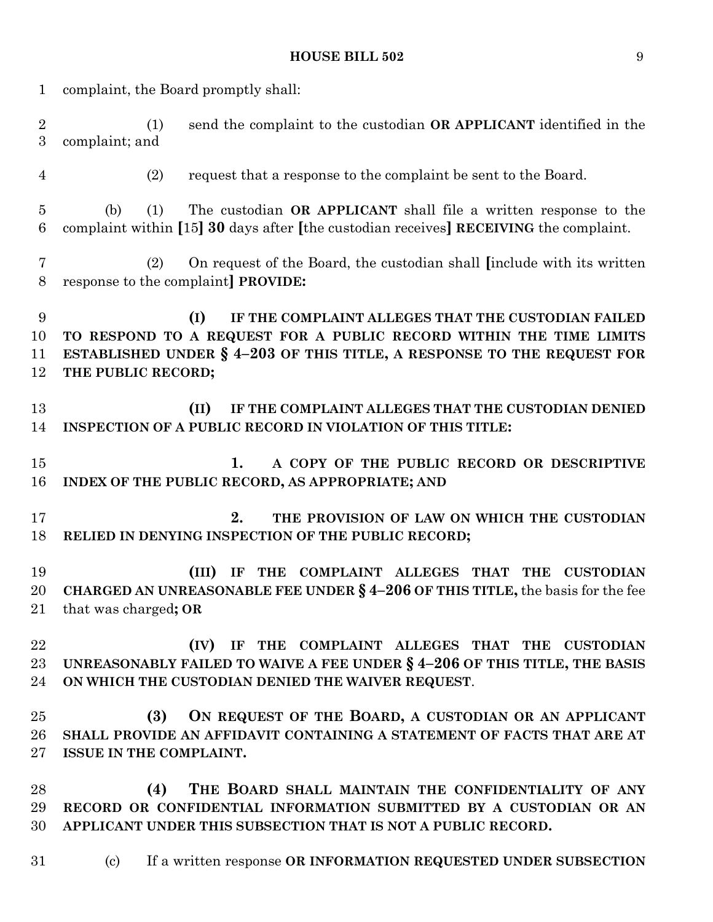| $\mathbf{1}$          | complaint, the Board promptly shall:                                                                                                                                                                                            |  |  |  |  |  |
|-----------------------|---------------------------------------------------------------------------------------------------------------------------------------------------------------------------------------------------------------------------------|--|--|--|--|--|
| $\boldsymbol{2}$<br>3 | send the complaint to the custodian OR APPLICANT identified in the<br>(1)<br>complaint; and                                                                                                                                     |  |  |  |  |  |
| $\overline{4}$        | request that a response to the complaint be sent to the Board.<br>(2)                                                                                                                                                           |  |  |  |  |  |
| $\overline{5}$<br>6   | The custodian OR APPLICANT shall file a written response to the<br>(b)<br>(1)<br>complaint within [15] 30 days after [the custodian receives] RECEIVING the complaint.                                                          |  |  |  |  |  |
| $\overline{7}$<br>8   | On request of the Board, the custodian shall finclude with its written<br>(2)<br>response to the complaint <b>PROVIDE</b> :                                                                                                     |  |  |  |  |  |
| 9<br>10<br>11<br>12   | (I)<br>IF THE COMPLAINT ALLEGES THAT THE CUSTODIAN FAILED<br>TO RESPOND TO A REQUEST FOR A PUBLIC RECORD WITHIN THE TIME LIMITS<br>ESTABLISHED UNDER § 4-203 OF THIS TITLE, A RESPONSE TO THE REQUEST FOR<br>THE PUBLIC RECORD; |  |  |  |  |  |
| 13<br>14              | IF THE COMPLAINT ALLEGES THAT THE CUSTODIAN DENIED<br>(II)<br>INSPECTION OF A PUBLIC RECORD IN VIOLATION OF THIS TITLE:                                                                                                         |  |  |  |  |  |
| 15<br>16              | 1.<br>A COPY OF THE PUBLIC RECORD OR DESCRIPTIVE<br>INDEX OF THE PUBLIC RECORD, AS APPROPRIATE; AND                                                                                                                             |  |  |  |  |  |
| 17<br>18              | 2.<br>THE PROVISION OF LAW ON WHICH THE CUSTODIAN<br>RELIED IN DENYING INSPECTION OF THE PUBLIC RECORD;                                                                                                                         |  |  |  |  |  |
| 19<br>20<br>21        | (III)<br><b>COMPLAINT ALLEGES THAT THE</b><br><b>THE</b><br><b>CUSTODIAN</b><br>IF<br>CHARGED AN UNREASONABLE FEE UNDER $\S 4-206$ OF THIS TITLE, the basis for the fee<br>that was charged; OR                                 |  |  |  |  |  |
| 22<br>23<br>24        | (IV) IF THE COMPLAINT ALLEGES THAT THE CUSTODIAN<br>UNREASONABLY FAILED TO WAIVE A FEE UNDER § 4-206 OF THIS TITLE, THE BASIS<br>ON WHICH THE CUSTODIAN DENIED THE WAIVER REQUEST.                                              |  |  |  |  |  |
| 25<br>26<br>27        | ON REQUEST OF THE BOARD, A CUSTODIAN OR AN APPLICANT<br>(3)<br>SHALL PROVIDE AN AFFIDAVIT CONTAINING A STATEMENT OF FACTS THAT ARE AT<br>ISSUE IN THE COMPLAINT.                                                                |  |  |  |  |  |
| 28<br>29<br>30        | THE BOARD SHALL MAINTAIN THE CONFIDENTIALITY OF ANY<br>(4)<br>RECORD OR CONFIDENTIAL INFORMATION SUBMITTED BY A CUSTODIAN OR AN<br>APPLICANT UNDER THIS SUBSECTION THAT IS NOT A PUBLIC RECORD.                                 |  |  |  |  |  |
| 31                    | If a written response OR INFORMATION REQUESTED UNDER SUBSECTION<br>$\left( \mathrm{c}\right)$                                                                                                                                   |  |  |  |  |  |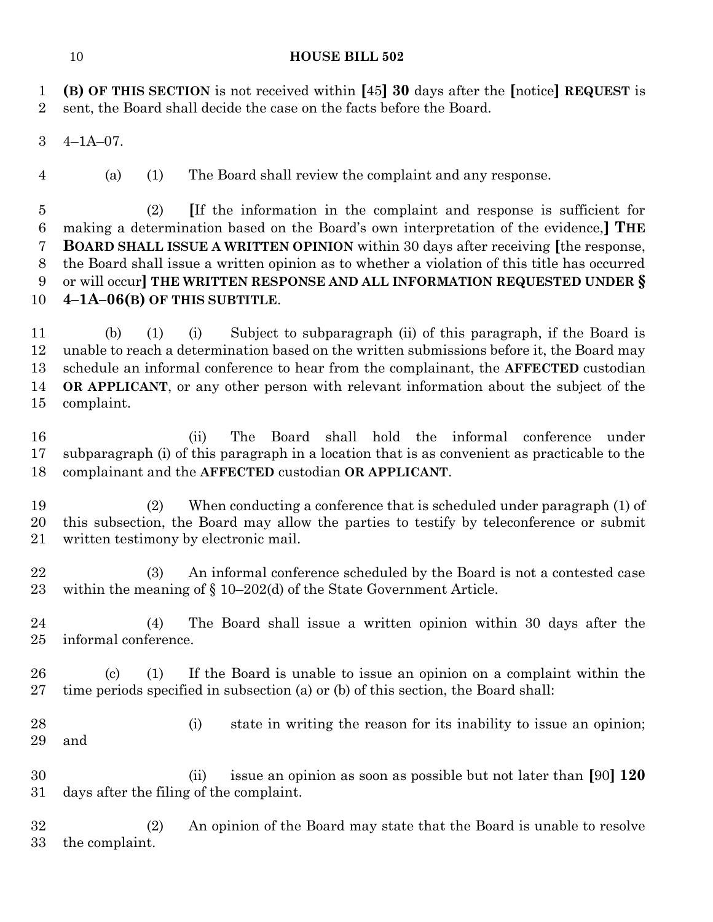**(B) OF THIS SECTION** is not received within **[**45**] 30** days after the **[**notice**] REQUEST** is sent, the Board shall decide the case on the facts before the Board.

4–1A–07.

(a) (1) The Board shall review the complaint and any response.

 (2) **[**If the information in the complaint and response is sufficient for making a determination based on the Board's own interpretation of the evidence,**] THE BOARD SHALL ISSUE A WRITTEN OPINION** within 30 days after receiving **[**the response, the Board shall issue a written opinion as to whether a violation of this title has occurred or will occur**] THE WRITTEN RESPONSE AND ALL INFORMATION REQUESTED UNDER § 4–1A–06(B) OF THIS SUBTITLE**.

 (b) (1) (i) Subject to subparagraph (ii) of this paragraph, if the Board is unable to reach a determination based on the written submissions before it, the Board may schedule an informal conference to hear from the complainant, the **AFFECTED** custodian **OR APPLICANT**, or any other person with relevant information about the subject of the complaint.

 (ii) The Board shall hold the informal conference under subparagraph (i) of this paragraph in a location that is as convenient as practicable to the complainant and the **AFFECTED** custodian **OR APPLICANT**.

 (2) When conducting a conference that is scheduled under paragraph (1) of this subsection, the Board may allow the parties to testify by teleconference or submit written testimony by electronic mail.

 (3) An informal conference scheduled by the Board is not a contested case within the meaning of § 10–202(d) of the State Government Article.

 (4) The Board shall issue a written opinion within 30 days after the informal conference.

 (c) (1) If the Board is unable to issue an opinion on a complaint within the time periods specified in subsection (a) or (b) of this section, the Board shall:

 (i) state in writing the reason for its inability to issue an opinion; and

 (ii) issue an opinion as soon as possible but not later than **[**90**] 120** days after the filing of the complaint.

 (2) An opinion of the Board may state that the Board is unable to resolve the complaint.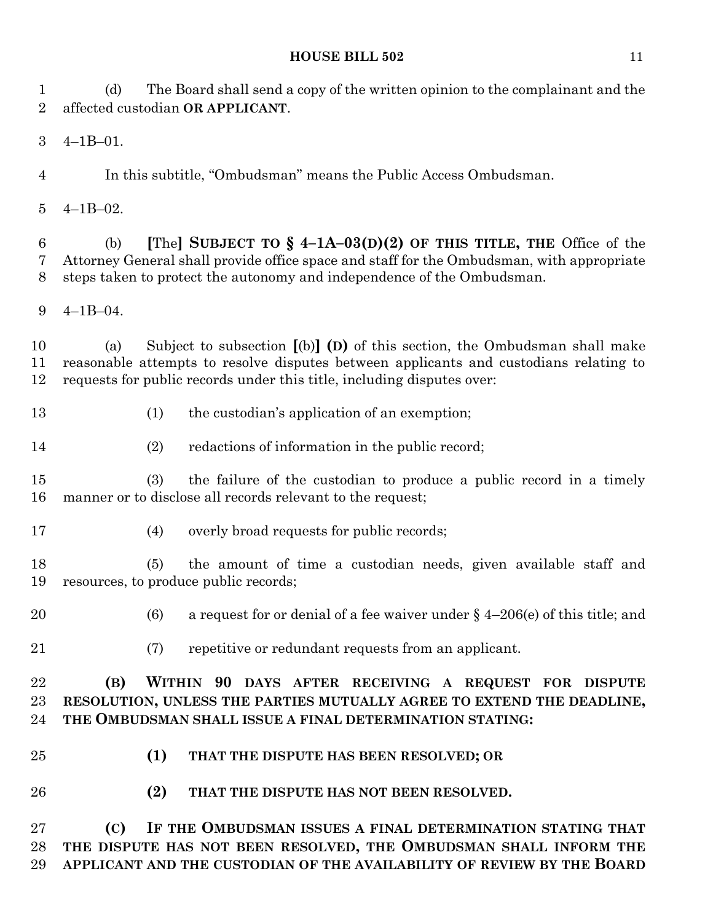(d) The Board shall send a copy of the written opinion to the complainant and the affected custodian **OR APPLICANT**.

4–1B–01.

In this subtitle, "Ombudsman" means the Public Access Ombudsman.

4–1B–02.

 (b) **[**The**] SUBJECT TO § 4–1A–03(D)(2) OF THIS TITLE, THE** Office of the Attorney General shall provide office space and staff for the Ombudsman, with appropriate steps taken to protect the autonomy and independence of the Ombudsman.

4–1B–04.

 (a) Subject to subsection **[**(b)**] (D)** of this section, the Ombudsman shall make reasonable attempts to resolve disputes between applicants and custodians relating to requests for public records under this title, including disputes over:

13 (1) the custodian's application of an exemption;

(2) redactions of information in the public record;

 (3) the failure of the custodian to produce a public record in a timely manner or to disclose all records relevant to the request;

(4) overly broad requests for public records;

 (5) the amount of time a custodian needs, given available staff and resources, to produce public records;

- 20 (6) a request for or denial of a fee waiver under  $\S$  4–206(e) of this title; and
- 
- (7) repetitive or redundant requests from an applicant.

 **(B) WITHIN 90 DAYS AFTER RECEIVING A REQUEST FOR DISPUTE RESOLUTION, UNLESS THE PARTIES MUTUALLY AGREE TO EXTEND THE DEADLINE, THE OMBUDSMAN SHALL ISSUE A FINAL DETERMINATION STATING:**

- **(1) THAT THE DISPUTE HAS BEEN RESOLVED; OR**
- **(2) THAT THE DISPUTE HAS NOT BEEN RESOLVED.**

 **(C) IF THE OMBUDSMAN ISSUES A FINAL DETERMINATION STATING THAT THE DISPUTE HAS NOT BEEN RESOLVED, THE OMBUDSMAN SHALL INFORM THE APPLICANT AND THE CUSTODIAN OF THE AVAILABILITY OF REVIEW BY THE BOARD**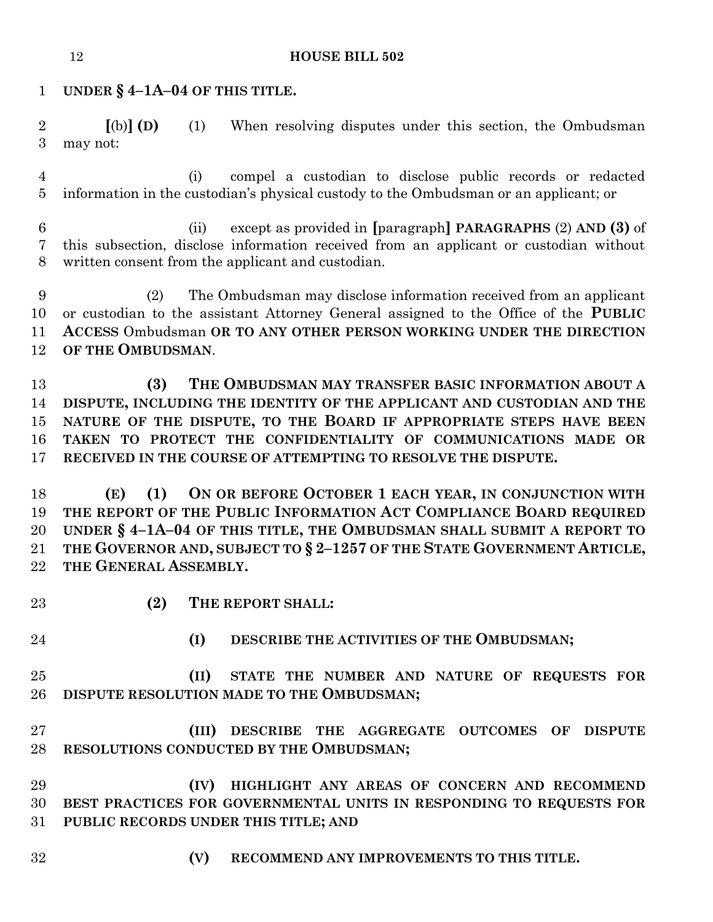**UNDER § 4–1A–04 OF THIS TITLE.**

 **[**(b)**] (D)** (1) When resolving disputes under this section, the Ombudsman may not:

 (i) compel a custodian to disclose public records or redacted information in the custodian's physical custody to the Ombudsman or an applicant; or

 (ii) except as provided in **[**paragraph**] PARAGRAPHS** (2) **AND (3)** of this subsection, disclose information received from an applicant or custodian without written consent from the applicant and custodian.

 (2) The Ombudsman may disclose information received from an applicant or custodian to the assistant Attorney General assigned to the Office of the **PUBLIC ACCESS** Ombudsman **OR TO ANY OTHER PERSON WORKING UNDER THE DIRECTION OF THE OMBUDSMAN**.

 **(3) THE OMBUDSMAN MAY TRANSFER BASIC INFORMATION ABOUT A DISPUTE, INCLUDING THE IDENTITY OF THE APPLICANT AND CUSTODIAN AND THE NATURE OF THE DISPUTE, TO THE BOARD IF APPROPRIATE STEPS HAVE BEEN TAKEN TO PROTECT THE CONFIDENTIALITY OF COMMUNICATIONS MADE OR RECEIVED IN THE COURSE OF ATTEMPTING TO RESOLVE THE DISPUTE.**

 **(E) (1) ON OR BEFORE OCTOBER 1 EACH YEAR, IN CONJUNCTION WITH THE REPORT OF THE PUBLIC INFORMATION ACT COMPLIANCE BOARD REQUIRED UNDER § 4–1A–04 OF THIS TITLE, THE OMBUDSMAN SHALL SUBMIT A REPORT TO THE GOVERNOR AND, SUBJECT TO § 2–1257 OF THE STATE GOVERNMENT ARTICLE, THE GENERAL ASSEMBLY.**

**(2) THE REPORT SHALL:**

**(I) DESCRIBE THE ACTIVITIES OF THE OMBUDSMAN;**

 **(II) STATE THE NUMBER AND NATURE OF REQUESTS FOR DISPUTE RESOLUTION MADE TO THE OMBUDSMAN;**

 **(III) DESCRIBE THE AGGREGATE OUTCOMES OF DISPUTE RESOLUTIONS CONDUCTED BY THE OMBUDSMAN;**

 **(IV) HIGHLIGHT ANY AREAS OF CONCERN AND RECOMMEND BEST PRACTICES FOR GOVERNMENTAL UNITS IN RESPONDING TO REQUESTS FOR PUBLIC RECORDS UNDER THIS TITLE; AND**

- 
- **(V) RECOMMEND ANY IMPROVEMENTS TO THIS TITLE.**